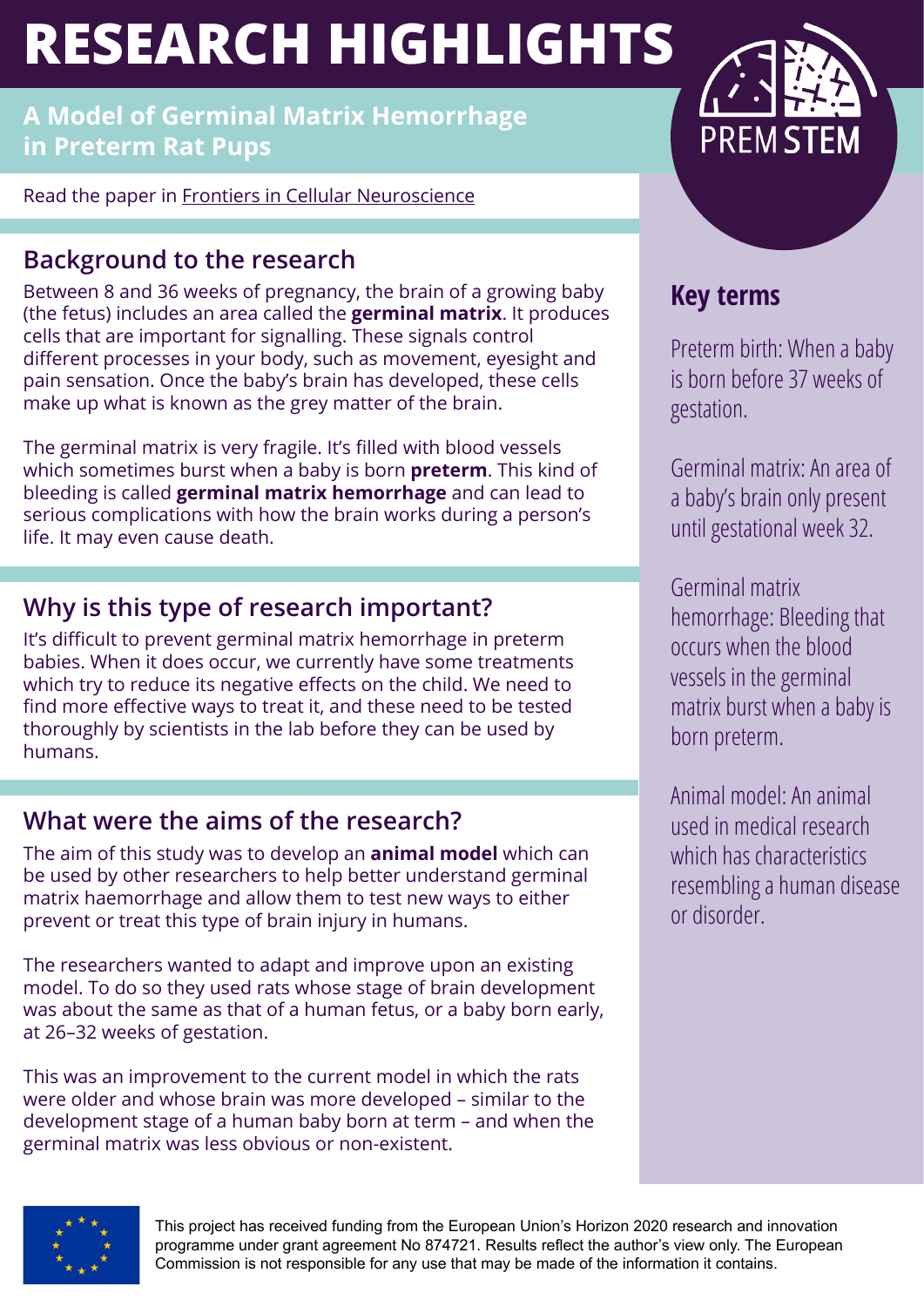# **RESEARCH HIGHLIGHTS**

**A Model of Germinal Matrix Hemorrhage in Preterm Rat Pups**

Read the paper in [Frontiers in Cellular Neuroscience](https://www.frontiersin.org/articles/10.3389/fncel.2020.535320/full   )

# **Background to the research**

Between 8 and 36 weeks of pregnancy, the brain of a growing baby (the fetus) includes an area called the **germinal matrix**. It produces cells that are important for signalling. These signals control different processes in your body, such as movement, eyesight and pain sensation. Once the baby's brain has developed, these cells make up what is known as the grey matter of the brain.

The germinal matrix is very fragile. It's filled with blood vessels which sometimes burst when a baby is born **preterm**. This kind of bleeding is called **germinal matrix hemorrhage** and can lead to serious complications with how the brain works during a person's life. It may even cause death.

# **Why is this type of research important?**

It's difficult to prevent germinal matrix hemorrhage in preterm babies. When it does occur, we currently have some treatments which try to reduce its negative effects on the child. We need to find more effective ways to treat it, and these need to be tested thoroughly by scientists in the lab before they can be used by humans.

## **What were the aims of the research?**

The aim of this study was to develop an **animal model** which can be used by other researchers to help better understand germinal matrix haemorrhage and allow them to test new ways to either prevent or treat this type of brain injury in humans.

The researchers wanted to adapt and improve upon an existing model. To do so they used rats whose stage of brain development was about the same as that of a human fetus, or a baby born early, at 26–32 weeks of gestation.

This was an improvement to the current model in which the rats were older and whose brain was more developed – similar to the development stage of a human baby born at term – and when the germinal matrix was less obvious or non-existent.



# **Key terms**

Preterm birth: When a baby is born before 37 weeks of gestation.

Germinal matrix: An area of a baby's brain only present until gestational week 32.

Germinal matrix hemorrhage: Bleeding that occurs when the blood vessels in the germinal matrix burst when a baby is born preterm.

Animal model: An animal used in medical research which has characteristics resembling a human disease or disorder.



This project has received funding from the European Union's Horizon 2020 research and innovation programme under grant agreement No 874721. Results reflect the author's view only. The European Commission is not responsible for any use that may be made of the information it contains.